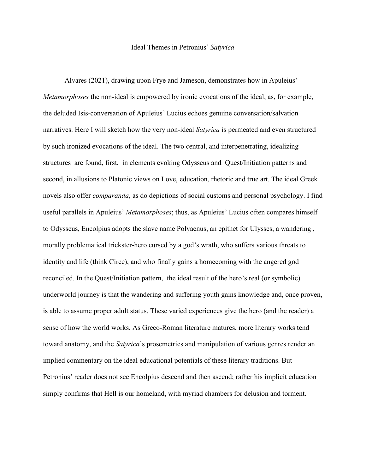## Ideal Themes in Petronius' *Satyrica*

Alvares (2021), drawing upon Frye and Jameson, demonstrates how in Apuleius' *Metamorphoses* the non-ideal is empowered by ironic evocations of the ideal, as, for example, the deluded Isis-conversation of Apuleius' Lucius echoes genuine conversation/salvation narratives. Here I will sketch how the very non-ideal *Satyrica* is permeated and even structured by such ironized evocations of the ideal. The two central, and interpenetrating, idealizing structures are found, first, in elements evoking Odysseus and Quest/Initiation patterns and second, in allusions to Platonic views on Love, education, rhetoric and true art. The ideal Greek novels also offer *comparanda*, as do depictions of social customs and personal psychology. I find useful parallels in Apuleius' *Metamorphoses*; thus, as Apuleius' Lucius often compares himself to Odysseus, Encolpius adopts the slave name Polyaenus, an epithet for Ulysses, a wandering , morally problematical trickster-hero cursed by a god's wrath, who suffers various threats to identity and life (think Circe), and who finally gains a homecoming with the angered god reconciled. In the Quest/Initiation pattern, the ideal result of the hero's real (or symbolic) underworld journey is that the wandering and suffering youth gains knowledge and, once proven, is able to assume proper adult status. These varied experiences give the hero (and the reader) a sense of how the world works. As Greco-Roman literature matures, more literary works tend toward anatomy, and the *Satyrica*'s prosemetrics and manipulation of various genres render an implied commentary on the ideal educational potentials of these literary traditions. But Petronius' reader does not see Encolpius descend and then ascend; rather his implicit education simply confirms that Hell is our homeland, with myriad chambers for delusion and torment.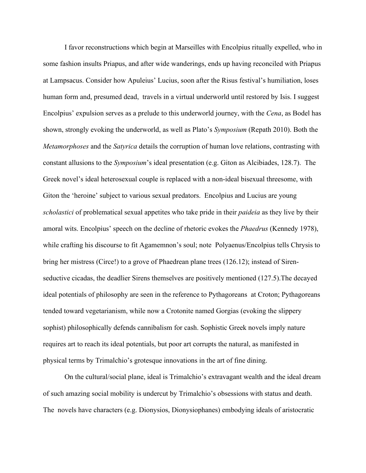I favor reconstructions which begin at Marseilles with Encolpius ritually expelled, who in some fashion insults Priapus, and after wide wanderings, ends up having reconciled with Priapus at Lampsacus. Consider how Apuleius' Lucius, soon after the Risus festival's humiliation, loses human form and, presumed dead, travels in a virtual underworld until restored by Isis. I suggest Encolpius' expulsion serves as a prelude to this underworld journey, with the *Cena*, as Bodel has shown, strongly evoking the underworld, as well as Plato's *Symposium* (Repath 2010). Both the *Metamorphoses* and the *Satyrica* details the corruption of human love relations, contrasting with constant allusions to the *Symposium*'s ideal presentation (e.g. Giton as Alcibiades, 128.7). The Greek novel's ideal heterosexual couple is replaced with a non-ideal bisexual threesome, with Giton the 'heroine' subject to various sexual predators. Encolpius and Lucius are young *scholastici* of problematical sexual appetites who take pride in their *paideia* as they live by their amoral wits. Encolpius' speech on the decline of rhetoric evokes the *Phaedrus* (Kennedy 1978), while crafting his discourse to fit Agamemnon's soul; note Polyaenus/Encolpius tells Chrysis to bring her mistress (Circe!) to a grove of Phaedrean plane trees (126.12); instead of Sirenseductive cicadas, the deadlier Sirens themselves are positively mentioned (127.5).The decayed ideal potentials of philosophy are seen in the reference to Pythagoreans at Croton; Pythagoreans tended toward vegetarianism, while now a Crotonite named Gorgias (evoking the slippery sophist) philosophically defends cannibalism for cash. Sophistic Greek novels imply nature requires art to reach its ideal potentials, but poor art corrupts the natural, as manifested in physical terms by Trimalchio's grotesque innovations in the art of fine dining.

On the cultural/social plane, ideal is Trimalchio's extravagant wealth and the ideal dream of such amazing social mobility is undercut by Trimalchio's obsessions with status and death. The novels have characters (e.g. Dionysios, Dionysiophanes) embodying ideals of aristocratic